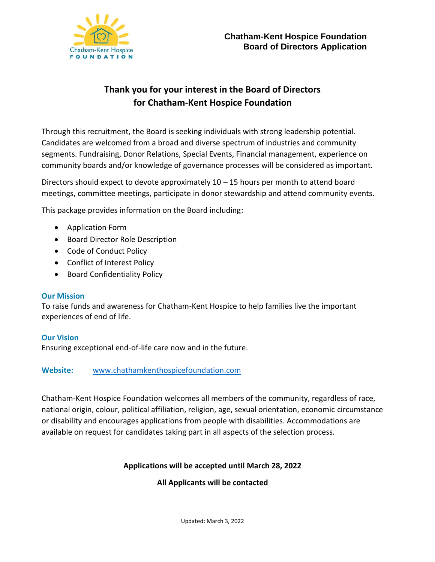

# **Thank you for your interest in the Board of Directors for Chatham-Kent Hospice Foundation**

Through this recruitment, the Board is seeking individuals with strong leadership potential. Candidates are welcomed from a broad and diverse spectrum of industries and community segments. Fundraising, Donor Relations, Special Events, Financial management, experience on community boards and/or knowledge of governance processes will be considered as important.

Directors should expect to devote approximately  $10 - 15$  hours per month to attend board meetings, committee meetings, participate in donor stewardship and attend community events.

This package provides information on the Board including:

- Application Form
- Board Director Role Description
- Code of Conduct Policy
- Conflict of Interest Policy
- Board Confidentiality Policy

#### **Our Mission**

To raise funds and awareness for Chatham-Kent Hospice to help families live the important experiences of end of life.

#### **Our Vision**

Ensuring exceptional end-of-life care now and in the future.

#### **Website:** [www.chathamkenthospicefoundation.com](http://www.chathamkenthospicefoundation.com/)

Chatham-Kent Hospice Foundation welcomes all members of the community, regardless of race, national origin, colour, political affiliation, religion, age, sexual orientation, economic circumstance or disability and encourages applications from people with disabilities. Accommodations are available on request for candidates taking part in all aspects of the selection process.

#### **Applications will be accepted until March 28, 2022**

#### **All Applicants will be contacted**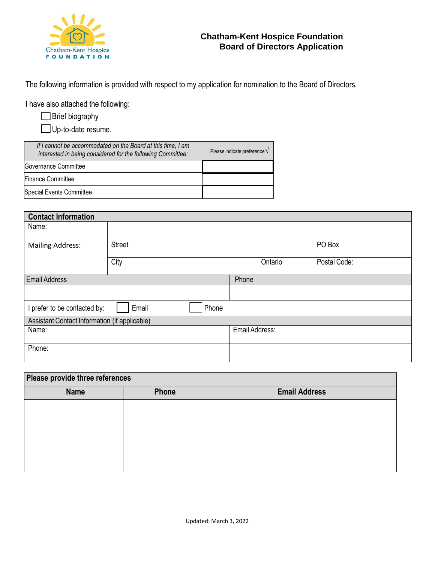

The following information is provided with respect to my application for nomination to the Board of Directors.

I have also attached the following:

|  | Brief biography |  |
|--|-----------------|--|
|  |                 |  |

□ Up-to-date resume.

| If I cannot be accommodated on the Board at this time, I am<br>interested in being considered for the following Committee: | Please indicate preference $\sqrt{}$ |
|----------------------------------------------------------------------------------------------------------------------------|--------------------------------------|
| Governance Committee                                                                                                       |                                      |
| <b>Finance Committee</b>                                                                                                   |                                      |
| Special Events Committee                                                                                                   |                                      |

| <b>Contact Information</b>                    |                |                |         |              |  |
|-----------------------------------------------|----------------|----------------|---------|--------------|--|
| Name:                                         |                |                |         |              |  |
| <b>Mailing Address:</b>                       | <b>Street</b>  |                |         | PO Box       |  |
|                                               | City           |                | Ontario | Postal Code: |  |
| <b>Email Address</b>                          |                | Phone          |         |              |  |
|                                               |                |                |         |              |  |
| I prefer to be contacted by:                  | Email<br>Phone |                |         |              |  |
| Assistant Contact Information (if applicable) |                |                |         |              |  |
| Name:                                         |                | Email Address: |         |              |  |
| Phone:                                        |                |                |         |              |  |

| Please provide three references |       |                      |  |  |
|---------------------------------|-------|----------------------|--|--|
| <b>Name</b>                     | Phone | <b>Email Address</b> |  |  |
|                                 |       |                      |  |  |
|                                 |       |                      |  |  |
|                                 |       |                      |  |  |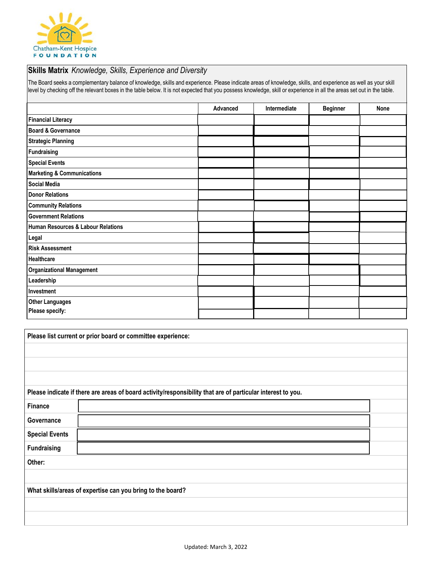

#### **Skills Matrix** *Knowledge, Skills, Experience and Diversity*

The Board seeks a complementary balance of knowledge, skills and experience. Please indicate areas of knowledge, skills, and experience as well as your skill level by checking off the relevant boxes in the table below. It is not expected that you possess knowledge, skill or experience in all the areas set out in the table.

|                                       | Advanced | Intermediate | <b>Beginner</b> | None |
|---------------------------------------|----------|--------------|-----------------|------|
| <b>Financial Literacy</b>             |          |              |                 |      |
| <b>Board &amp; Governance</b>         |          |              |                 |      |
| <b>Strategic Planning</b>             |          |              |                 |      |
| Fundraising                           |          |              |                 |      |
| <b>Special Events</b>                 |          |              |                 |      |
| <b>Marketing &amp; Communications</b> |          |              |                 |      |
| <b>Social Media</b>                   |          |              |                 |      |
| <b>Donor Relations</b>                |          |              |                 |      |
| <b>Community Relations</b>            |          |              |                 |      |
| <b>Government Relations</b>           |          |              |                 |      |
| Human Resources & Labour Relations    |          |              |                 |      |
| Legal                                 |          |              |                 |      |
| <b>Risk Assessment</b>                |          |              |                 |      |
| Healthcare                            |          |              |                 |      |
| <b>Organizational Management</b>      |          |              |                 |      |
| Leadership                            |          |              |                 |      |
| Investment                            |          |              |                 |      |
| <b>Other Languages</b>                |          |              |                 |      |
| Please specify:                       |          |              |                 |      |

|                       | Please list current or prior board or committee experience:                                                 |  |  |  |  |  |
|-----------------------|-------------------------------------------------------------------------------------------------------------|--|--|--|--|--|
|                       |                                                                                                             |  |  |  |  |  |
|                       |                                                                                                             |  |  |  |  |  |
|                       |                                                                                                             |  |  |  |  |  |
|                       | Please indicate if there are areas of board activity/responsibility that are of particular interest to you. |  |  |  |  |  |
| Finance               |                                                                                                             |  |  |  |  |  |
| Governance            |                                                                                                             |  |  |  |  |  |
| <b>Special Events</b> |                                                                                                             |  |  |  |  |  |
| <b>Fundraising</b>    |                                                                                                             |  |  |  |  |  |
| Other:                |                                                                                                             |  |  |  |  |  |
|                       |                                                                                                             |  |  |  |  |  |
|                       | What skills/areas of expertise can you bring to the board?                                                  |  |  |  |  |  |
|                       |                                                                                                             |  |  |  |  |  |
|                       |                                                                                                             |  |  |  |  |  |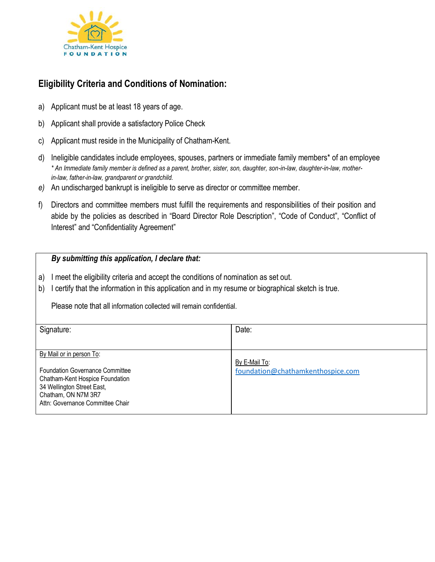

# **Eligibility Criteria and Conditions of Nomination:**

- a) Applicant must be at least 18 years of age.
- b) Applicant shall provide a satisfactory Police Check
- c) Applicant must reside in the Municipality of Chatham-Kent.
- d) Ineligible candidates include employees, spouses, partners or immediate family members\* of an employee *\* An Immediate family member is defined as a parent, brother, sister, son, daughter, son-in-law, daughter-in-law, motherin-law, father-in-law, grandparent or grandchild.*
- *e)* An undischarged bankrupt is ineligible to serve as director or committee member.
- f) Directors and committee members must fulfill the requirements and responsibilities of their position and abide by the policies as described in "Board Director Role Description", "Code of Conduct", "Conflict of Interest" and "Confidentiality Agreement"

### *By submitting this application, I declare that:*

- a) I meet the eligibility criteria and accept the conditions of nomination as set out.
- b) I certify that the information in this application and in my resume or biographical sketch is true.

Please note that all information collected will remain confidential.

| foundation@chathamkenthospice.com |
|-----------------------------------|
|                                   |
|                                   |
|                                   |
|                                   |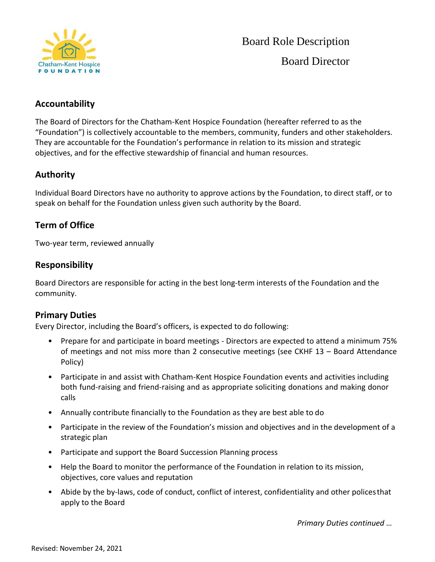

# **Accountability**

The Board of Directors for the Chatham-Kent Hospice Foundation (hereafter referred to as the "Foundation") is collectively accountable to the members, community, funders and other stakeholders. They are accountable for the Foundation's performance in relation to its mission and strategic objectives, and for the effective stewardship of financial and human resources.

# **Authority**

Individual Board Directors have no authority to approve actions by the Foundation, to direct staff, or to speak on behalf for the Foundation unless given such authority by the Board.

# **Term of Office**

Two-year term, reviewed annually

# **Responsibility**

Board Directors are responsible for acting in the best long-term interests of the Foundation and the community.

## **Primary Duties**

Every Director, including the Board's officers, is expected to do following:

- Prepare for and participate in board meetings Directors are expected to attend a minimum 75% of meetings and not miss more than 2 consecutive meetings (see CKHF 13 – Board Attendance Policy)
- Participate in and assist with Chatham-Kent Hospice Foundation events and activities including both fund-raising and friend-raising and as appropriate soliciting donations and making donor calls
- Annually contribute financially to the Foundation as they are best able to do
- Participate in the review of the Foundation's mission and objectives and in the development of a strategic plan
- Participate and support the Board Succession Planning process
- Help the Board to monitor the performance of the Foundation in relation to its mission, objectives, core values and reputation
- Abide by the by-laws, code of conduct, conflict of interest, confidentiality and other policesthat apply to the Board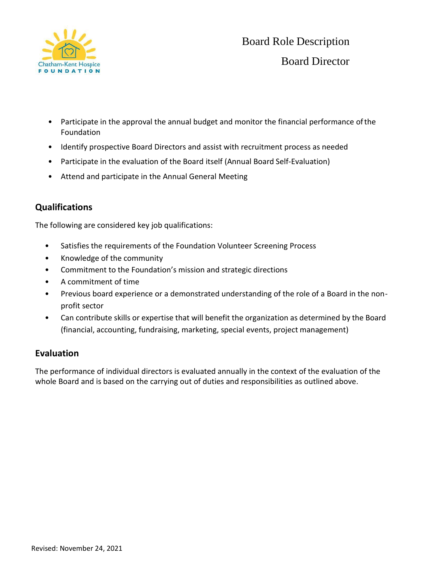

- Participate in the approval the annual budget and monitor the financial performance ofthe Foundation
- Identify prospective Board Directors and assist with recruitment process as needed
- Participate in the evaluation of the Board itself (Annual Board Self-Evaluation)
- Attend and participate in the Annual General Meeting

# **Qualifications**

The following are considered key job qualifications:

- Satisfies the requirements of the Foundation Volunteer Screening Process
- Knowledge of the community
- Commitment to the Foundation's mission and strategic directions
- A commitment of time
- Previous board experience or a demonstrated understanding of the role of a Board in the nonprofit sector
- Can contribute skills or expertise that will benefit the organization as determined by the Board (financial, accounting, fundraising, marketing, special events, project management)

## **Evaluation**

The performance of individual directors is evaluated annually in the context of the evaluation of the whole Board and is based on the carrying out of duties and responsibilities as outlined above.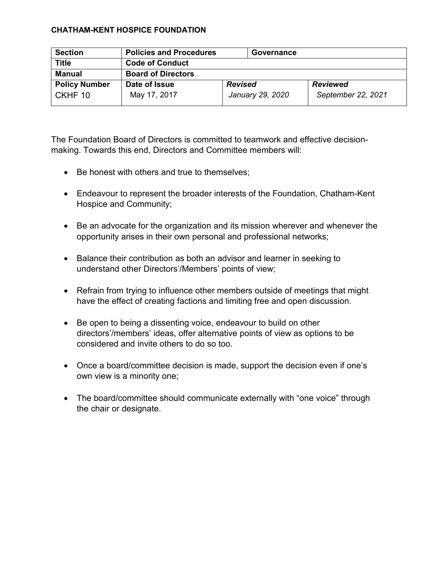| <b>Section</b>       | <b>Policies and Procedures</b> | Governance       |                    |
|----------------------|--------------------------------|------------------|--------------------|
| <b>Title</b>         | <b>Code of Conduct</b>         |                  |                    |
| Manual               | <b>Board of Directors</b>      |                  |                    |
| <b>Policy Number</b> | Date of Issue                  | <b>Revised</b>   | <b>Reviewed</b>    |
| CKHF 10              | May 17, 2017                   | January 29, 2020 | September 22, 2021 |

The Foundation Board of Directors is committed to teamwork and effective decisionmaking. Towards this end, Directors and Committee members will:

- Be honest with others and true to themselves;
- Endeavour to represent the broader interests of the Foundation, Chatham-Kent Hospice and Community;
- Be an advocate for the organization and its mission wherever and whenever the opportunity arises in their own personal and professional networks;
- Balance their contribution as both an advisor and learner in seeking to understand other Directors'/Members' points of view;
- Refrain from trying to influence other members outside of meetings that might have the effect of creating factions and limiting free and open discussion.
- Be open to being a dissenting voice, endeavour to build on other directors'/members' ideas, offer alternative points of view as options to be considered and invite others to do so too.
- Once a board/committee decision is made, support the decision even if one's own view is a minority one;
- The board/committee should communicate externally with "one voice" through the chair or designate.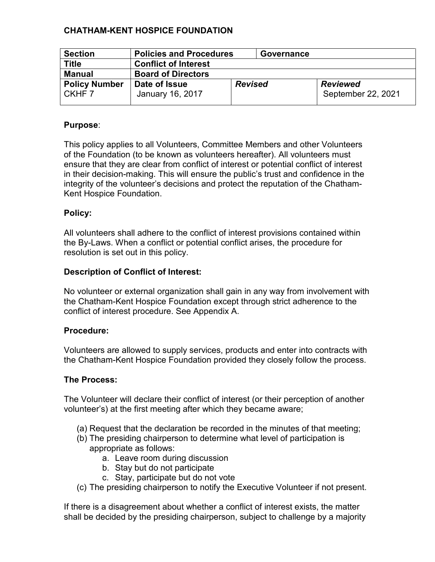| <b>Section</b>                 | <b>Policies and Procedures</b>    |                | Governance |                                       |
|--------------------------------|-----------------------------------|----------------|------------|---------------------------------------|
| <b>Title</b>                   | <b>Conflict of Interest</b>       |                |            |                                       |
| <b>Manual</b>                  | <b>Board of Directors</b>         |                |            |                                       |
| <b>Policy Number</b><br>CKHF 7 | Date of Issue<br>January 16, 2017 | <b>Revised</b> |            | <b>Reviewed</b><br>September 22, 2021 |

## **Purpose**:

This policy applies to all Volunteers, Committee Members and other Volunteers of the Foundation (to be known as volunteers hereafter). All volunteers must ensure that they are clear from conflict of interest or potential conflict of interest in their decision-making. This will ensure the public's trust and confidence in the integrity of the volunteer's decisions and protect the reputation of the Chatham-Kent Hospice Foundation.

## **Policy:**

All volunteers shall adhere to the conflict of interest provisions contained within the By-Laws. When a conflict or potential conflict arises, the procedure for resolution is set out in this policy.

## **Description of Conflict of Interest:**

No volunteer or external organization shall gain in any way from involvement with the Chatham-Kent Hospice Foundation except through strict adherence to the conflict of interest procedure. See Appendix A.

### **Procedure:**

Volunteers are allowed to supply services, products and enter into contracts with the Chatham-Kent Hospice Foundation provided they closely follow the process.

### **The Process:**

The Volunteer will declare their conflict of interest (or their perception of another volunteer's) at the first meeting after which they became aware;

- (a) Request that the declaration be recorded in the minutes of that meeting;
- (b) The presiding chairperson to determine what level of participation is appropriate as follows:
	- a. Leave room during discussion
	- b. Stay but do not participate
	- c. Stay, participate but do not vote
- (c) The presiding chairperson to notify the Executive Volunteer if not present.

If there is a disagreement about whether a conflict of interest exists, the matter shall be decided by the presiding chairperson, subject to challenge by a majority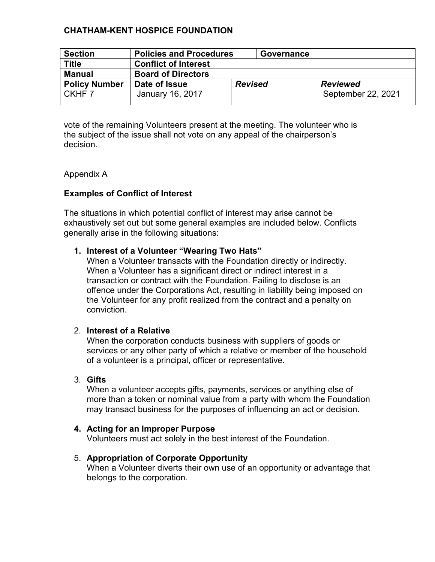| <b>Section</b>                            | <b>Policies and Procedures</b>    |                | Governance |                                       |
|-------------------------------------------|-----------------------------------|----------------|------------|---------------------------------------|
| <b>Title</b>                              | <b>Conflict of Interest</b>       |                |            |                                       |
| Manual                                    | <b>Board of Directors</b>         |                |            |                                       |
| <b>Policy Number</b><br>CKHF <sub>7</sub> | Date of Issue<br>January 16, 2017 | <b>Revised</b> |            | <b>Reviewed</b><br>September 22, 2021 |

vote of the remaining Volunteers present at the meeting. The volunteer who is the subject of the issue shall not vote on any appeal of the chairperson's decision.

### Appendix A

## **Examples of Conflict of Interest**

The situations in which potential conflict of interest may arise cannot be exhaustively set out but some general examples are included below. Conflicts generally arise in the following situations:

### **1. Interest of a Volunteer "Wearing Two Hats"**

When a Volunteer transacts with the Foundation directly or indirectly. When a Volunteer has a significant direct or indirect interest in a transaction or contract with the Foundation. Failing to disclose is an offence under the Corporations Act, resulting in liability being imposed on the Volunteer for any profit realized from the contract and a penalty on conviction.

### 2. **Interest of a Relative**

When the corporation conducts business with suppliers of goods or services or any other party of which a relative or member of the household of a volunteer is a principal, officer or representative.

## 3. **Gifts**

When a volunteer accepts gifts, payments, services or anything else of more than a token or nominal value from a party with whom the Foundation may transact business for the purposes of influencing an act or decision.

### **4. Acting for an Improper Purpose**

Volunteers must act solely in the best interest of the Foundation.

### 5. **Appropriation of Corporate Opportunity**

When a Volunteer diverts their own use of an opportunity or advantage that belongs to the corporation.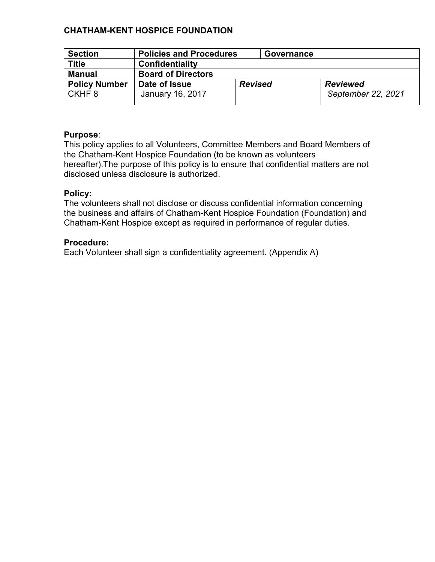| <b>Section</b>                   | <b>Policies and Procedures</b>    |                | Governance |                                       |
|----------------------------------|-----------------------------------|----------------|------------|---------------------------------------|
| <b>Title</b>                     | Confidentiality                   |                |            |                                       |
| <b>Manual</b>                    | <b>Board of Directors</b>         |                |            |                                       |
| <b>Policy Number</b><br>l CKHF 8 | Date of Issue<br>January 16, 2017 | <b>Revised</b> |            | <b>Reviewed</b><br>September 22, 2021 |

### **Purpose**:

This policy applies to all Volunteers, Committee Members and Board Members of the Chatham-Kent Hospice Foundation (to be known as volunteers hereafter).The purpose of this policy is to ensure that confidential matters are not disclosed unless disclosure is authorized.

### **Policy:**

The volunteers shall not disclose or discuss confidential information concerning the business and affairs of Chatham-Kent Hospice Foundation (Foundation) and Chatham-Kent Hospice except as required in performance of regular duties.

#### **Procedure:**

Each Volunteer shall sign a confidentiality agreement. (Appendix A)